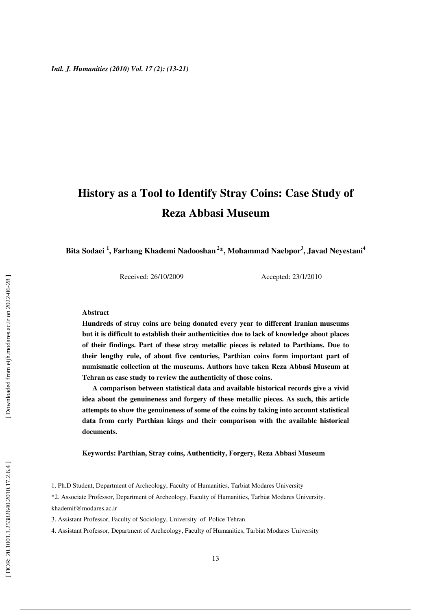# **History as a Tool to Identify Stray Coins: Case Study of Reza Abbasi Museum**

Bita Sodaei <sup>1</sup>, Farhang Khademi Nadooshan <sup>2</sup>\*, Mohammad Naebpor<sup>3</sup>, Javad Neyestani<sup>4</sup>

Received: 26/10/2009 Accepted: 23/1/2010

#### **Abstract**

**Hundreds of stray coins are being donated every year to different Iranian museums but it is difficult to establish their authenticities due to lack of knowledge about places of their findings. Part of these stray metallic pieces is related to Parthians. Due to their lengthy rule, of about five centuries, Parthian coins form important part of numismatic collection at the museums. Authors have taken Reza Abbasi Museum at Tehran as case study to review the authenticity of those coins.** 

**A comparison between statistical data and available historical records give a vivid idea about the genuineness and forgery of these metallic pieces. As such, this article attempts to show the genuineness of some of the coins by taking into account statistical data from early Parthian kings and their comparison with the available historical documents.** 

**Keywords: Parthian, Stray coins, Authenticity, Forgery, Reza Abbasi Museum** 

khademif@modares.ac.ir

 $\overline{a}$ 

<sup>1.</sup> Ph.D Student, Department of Archeology, Faculty of Humanities, Tarbiat Modares University

<sup>\*2.</sup> Associate Professor, Department of Archeology, Faculty of Humanities, Tarbiat Modares University.

<sup>3.</sup> Assistant Professor, Faculty of Sociology, University of Police Tehran

<sup>4.</sup> Assistant Professor, Department of Archeology, Faculty of Humanities, Tarbiat Modares University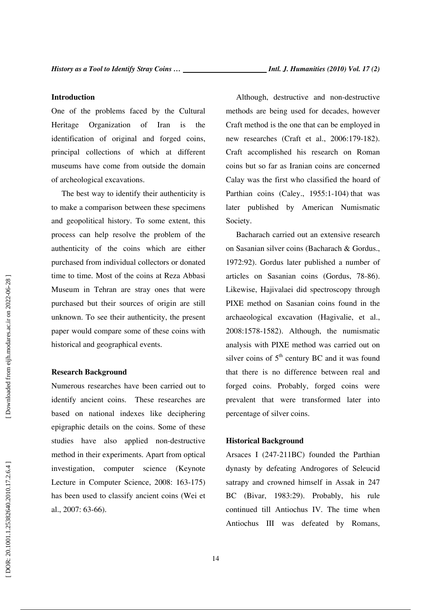## **Introduction**

One of the problems faced by the Cultural Heritage Organization of Iran is the identification of original and forged coins, principal collections of which at different museums have come from outside the domain of archeological excavations.

The best way to identify their authenticity is to make a comparison between these specimens and geopolitical history. To some extent, this process can help resolve the problem of the authenticity of the coins which are either purchased from individual collectors or donated time to time. Most of the coins at Reza Abbasi Museum in Tehran are stray ones that were purchased but their sources of origin are still unknown. To see their authenticity, the present paper would compare some of these coins with historical and geographical events.

## **Research Background**

Numerous researches have been carried out to identify ancient coins. These researches are based on national indexes like deciphering epigraphic details on the coins. Some of these studies have also applied non-destructive method in their experiments. Apart from optical investigation, computer science (Keynote Lecture in Computer Science, 2008: 163-175) has been used to classify ancient coins (Wei et al., 2007: 63-66).

Although, destructive and non-destructive methods are being used for decades, however Craft method is the one that can be employed in new researches (Craft et al., 2006:179-182). Craft accomplished his research on Roman coins but so far as Iranian coins are concerned Calay was the first who classified the hoard of Parthian coins (Caley., 1955:1-104) that was later published by American Numismatic Society.

Bacharach carried out an extensive research on Sasanian silver coins (Bacharach & Gordus., 1972:92). Gordus later published a number of articles on Sasanian coins (Gordus, 78-86). Likewise, Hajivalaei did spectroscopy through PIXE method on Sasanian coins found in the archaeological excavation (Hagivalie, et al., 2008:1578-1582). Although, the numismatic analysis with PIXE method was carried out on silver coins of  $5<sup>th</sup>$  century BC and it was found that there is no difference between real and forged coins. Probably, forged coins were prevalent that were transformed later into percentage of silver coins.

#### **Historical Background**

Arsaces I (247-211BC) founded the Parthian dynasty by defeating Androgores of Seleucid satrapy and crowned himself in Assak in 247 BC (Bivar, 1983:29). Probably, his rule continued till Antiochus IV. The time when Antiochus III was defeated by Romans,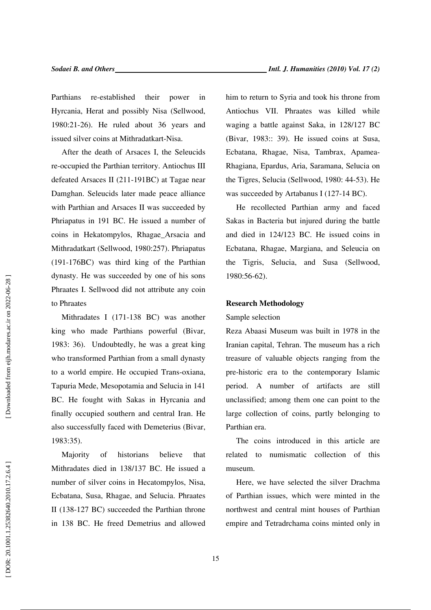Parthians re-established their power in Hyrcania, Herat and possibly Nisa (Sellwood, 1980:21-26). He ruled about 36 years and issued silver coins at Mithradatkart-Nisa.

After the death of Arsaces I, the Seleucids re-occupied the Parthian territory. Antiochus III defeated Arsaces II (211-191BC) at Tagae near Damghan. Seleucids later made peace alliance with Parthian and Arsaces II was succeeded by Phriapatus in 191 BC. He issued a number of coins in Hekatompylos, Rhagae\_Arsacia and Mithradatkart (Sellwood, 1980:257). Phriapatus (191-176BC) was third king of the Parthian dynasty. He was succeeded by one of his sons Phraates I. Sellwood did not attribute any coin to Phraates

Mithradates I (171-138 BC) was another king who made Parthians powerful (Bivar, 1983: 36). Undoubtedly, he was a great king who transformed Parthian from a small dynasty to a world empire. He occupied Trans-oxiana, Tapuria Mede, Mesopotamia and Selucia in 141 BC. He fought with Sakas in Hyrcania and finally occupied southern and central Iran. He also successfully faced with Demeterius (Bivar, 1983:35).

Majority of historians believe that Mithradates died in 138/137 BC. He issued a number of silver coins in Hecatompylos, Nisa, Ecbatana, Susa, Rhagae, and Selucia. Phraates II (138-127 BC) succeeded the Parthian throne in 138 BC. He freed Demetrius and allowed him to return to Syria and took his throne from Antiochus VII. Phraates was killed while waging a battle against Saka, in 128/127 BC (Bivar, 1983:: 39). He issued coins at Susa, Ecbatana, Rhagae, Nisa, Tambrax, Apamea-Rhagiana, Epardus, Aria, Saramana, Selucia on the Tigres, Selucia (Sellwood, 1980: 44-53). He was succeeded by Artabanus I (127-14 BC).

He recollected Parthian army and faced Sakas in Bacteria but injured during the battle and died in 124/123 BC. He issued coins in Ecbatana, Rhagae, Margiana, and Seleucia on the Tigris, Selucia, and Susa (Sellwood, 1980:56-62).

#### **Research Methodology**

#### Sample selection

Reza Abaasi Museum was built in 1978 in the Iranian capital, Tehran. The museum has a rich treasure of valuable objects ranging from the pre-historic era to the contemporary Islamic period. A number of artifacts are still unclassified; among them one can point to the large collection of coins, partly belonging to Parthian era.

The coins introduced in this article are related to numismatic collection of this museum.

Here, we have selected the silver Drachma of Parthian issues, which were minted in the northwest and central mint houses of Parthian empire and Tetradrchama coins minted only in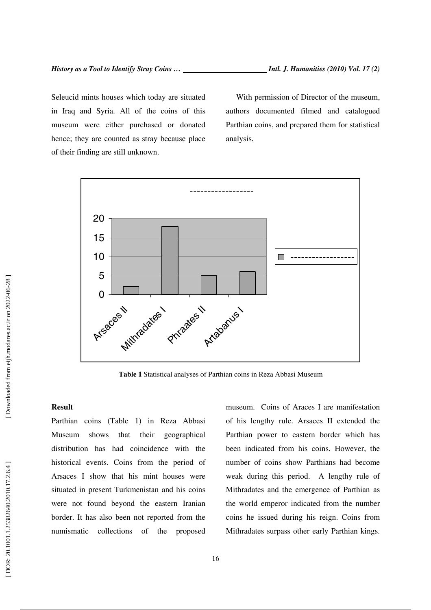Seleucid mints houses which today are situated in Iraq and Syria. All of the coins of this museum were either purchased or donated hence; they are counted as stray because place of their finding are still unknown.

With permission of Director of the museum, authors documented filmed and catalogued Parthian coins, and prepared them for statistical analysis.



**Table 1** Statistical analyses of Parthian coins in Reza Abbasi Museum

# **Result**

Parthian coins (Table 1) in Reza Abbasi Museum shows that their geographical distribution has had coincidence with the historical events. Coins from the period of Arsaces I show that his mint houses were situated in present Turkmenistan and his coins were not found beyond the eastern Iranian border. It has also been not reported from the numismatic collections of the proposed museum. Coins of Araces I are manifestation of his lengthy rule. Arsaces II extended the Parthian power to eastern border which has been indicated from his coins. However, the number of coins show Parthians had become weak during this period. A lengthy rule of Mithradates and the emergence of Parthian as the world emperor indicated from the number coins he issued during his reign. Coins from Mithradates surpass other early Parthian kings.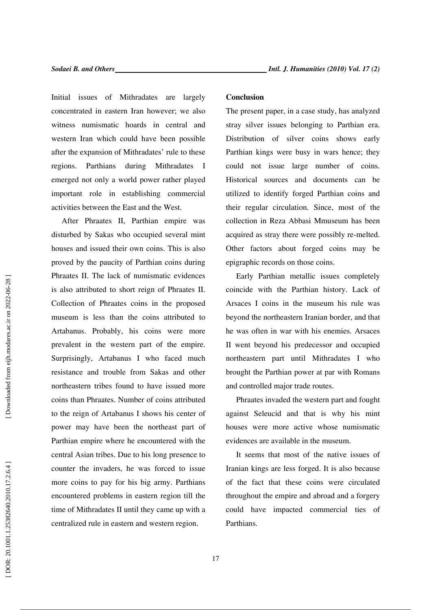Initial issues of Mithradates are largely concentrated in eastern Iran however; we also witness numismatic hoards in central and western Iran which could have been possible after the expansion of Mithradates' rule to these regions. Parthians during Mithradates I emerged not only a world power rather played important role in establishing commercial activities between the East and the West.

After Phraates II, Parthian empire was disturbed by Sakas who occupied several mint houses and issued their own coins. This is also proved by the paucity of Parthian coins during Phraates II. The lack of numismatic evidences is also attributed to short reign of Phraates II. Collection of Phraates coins in the proposed museum is less than the coins attributed to Artabanus. Probably, his coins were more prevalent in the western part of the empire. Surprisingly, Artabanus I who faced much resistance and trouble from Sakas and other northeastern tribes found to have issued more coins than Phraates. Number of coins attributed to the reign of Artabanus I shows his center of power may have been the northeast part of Parthian empire where he encountered with the central Asian tribes. Due to his long presence to counter the invaders, he was forced to issue more coins to pay for his big army. Parthians encountered problems in eastern region till the time of Mithradates II until they came up with a centralized rule in eastern and western region.

#### **Conclusion**

The present paper, in a case study, has analyzed stray silver issues belonging to Parthian era. Distribution of silver coins shows early Parthian kings were busy in wars hence; they could not issue large number of coins. Historical sources and documents can be utilized to identify forged Parthian coins and their regular circulation. Since, most of the collection in Reza Abbasi Mmuseum has been acquired as stray there were possibly re-melted. Other factors about forged coins may be epigraphic records on those coins.

Early Parthian metallic issues completely coincide with the Parthian history. Lack of Arsaces I coins in the museum his rule was beyond the northeastern Iranian border, and that he was often in war with his enemies. Arsaces II went beyond his predecessor and occupied northeastern part until Mithradates I who brought the Parthian power at par with Romans and controlled major trade routes.

Phraates invaded the western part and fought against Seleucid and that is why his mint houses were more active whose numismatic evidences are available in the museum.

It seems that most of the native issues of Iranian kings are less forged. It is also because of the fact that these coins were circulated throughout the empire and abroad and a forgery could have impacted commercial ties of Parthians.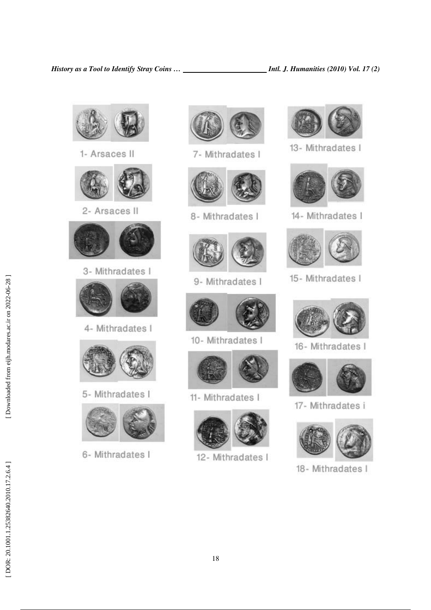

1- Arsaces II



2- Arsaces II



3- Mithradates I



4- Mithradates I



5- Mithradates I



6- Mithradates I



7- Mithradates I



8- Mithradates I



9- Mithradates I



10- Mithradates I



11- Mithradates I



12- Mithradates I



13- Mithradates I



14- Mithradates I



15- Mithradates I



16- Mithradates I



17- Mithradates i



18- Mithradates I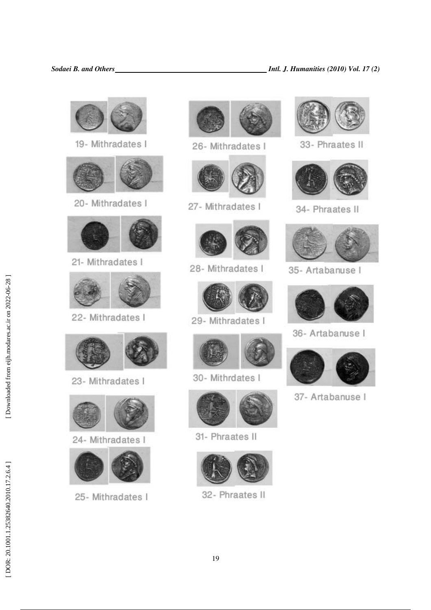



26- Mithradates I



27- Mithradates I



28- Mithradates I



29- Mithradates I



30- Mithrdates I



31- Phraates II



32- Phraates II



33- Phraates II



34- Phraates II



35- Artabanuse I



36- Artabanuse I



37- Artabanuse I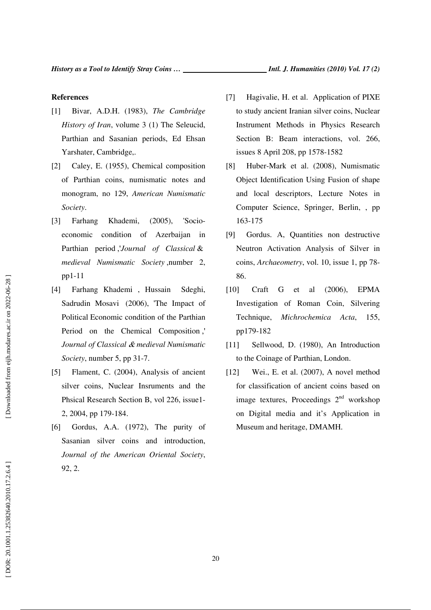#### **References**

- [1] Bivar, A.D.H. (1983), *The Cambridge History of Iran*, volume 3 (1) The Seleucid, Parthian and Sasanian periods, Ed Ehsan Yarshater, Cambridge,.
- [2] Caley, E. (1955), Chemical composition of Parthian coins, numismatic notes and monogram, no 129, *American Numismatic Society*.
- [3] Farhang Khademi, (2005), 'Socioeconomic condition of Azerbaijan in Parthian period ,'*Journal of Classical* & *medieval Numismatic Society* ,number 2, pp1-11
- [4] Farhang Khademi , Hussain Sdeghi, Sadrudin Mosavi (2006), 'The Impact of Political Economic condition of the Parthian Period on the Chemical Composition ,' *Journal of Classical* & *medieval Numismatic Society*, number 5, pp 31-7.
- [5] Flament, C. (2004), Analysis of ancient silver coins, Nuclear Insruments and the Phsical Research Section B, vol 226, issue1- 2, 2004, pp 179-184.
- [6] Gordus, A.A. (1972), The purity of Sasanian silver coins and introduction, *Journal of the American Oriental Society*, 92, 2.
- [7] Hagivalie, H. et al. Application of PIXE to study ancient Iranian silver coins, Nuclear Instrument Methods in Physics Research Section B: Beam interactions, vol. 266, issues 8 April 208, pp 1578-1582
- [8] Huber-Mark et al. (2008), Numismatic Object Identification Using Fusion of shape and local descriptors, Lecture Notes in Computer Science, Springer, Berlin, , pp 163-175
- [9] Gordus. A, Quantities non destructive Neutron Activation Analysis of Silver in coins, *Archaeometry*, vol. 10, issue 1, pp 78- 86.
- [10] Craft G et al (2006), EPMA Investigation of Roman Coin, Silvering Technique, *Michrochemica Acta*, 155, pp179-182
- [11] Sellwood, D. (1980), An Introduction to the Coinage of Parthian, London.
- [12] Wei., E. et al. (2007), A novel method for classification of ancient coins based on image textures, Proceedings  $2<sup>nd</sup>$  workshop on Digital media and it's Application in Museum and heritage, DMAMH.